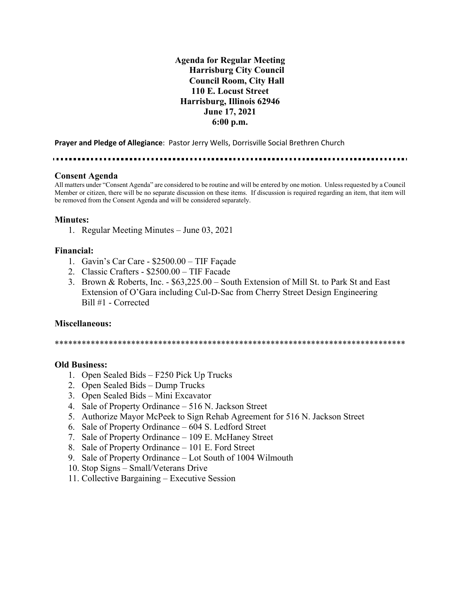**Agenda for Regular Meeting Harrisburg City Council Council Room, City Hall 110 E. Locust Street Harrisburg, Illinois 62946 June 17, 2021 6:00 p.m.**

**Prayer and Pledge of Allegiance**: Pastor Jerry Wells, Dorrisville Social Brethren Church

#### **Consent Agenda**

All matters under "Consent Agenda" are considered to be routine and will be entered by one motion. Unless requested by a Council Member or citizen, there will be no separate discussion on these items. If discussion is required regarding an item, that item will be removed from the Consent Agenda and will be considered separately.

### **Minutes:**

1. Regular Meeting Minutes – June 03, 2021

### **Financial:**

- 1. Gavin's Car Care \$2500.00 TIF Façade
- 2. Classic Crafters \$2500.00 TIF Facade
- 3. Brown & Roberts, Inc. \$63,225.00 South Extension of Mill St. to Park St and East Extension of O'Gara including Cul-D-Sac from Cherry Street Design Engineering Bill #1 - Corrected

### **Miscellaneous:**

\*\*\*\*\*\*\*\*\*\*\*\*\*\*\*\*\*\*\*\*\*\*\*\*\*\*\*\*\*\*\*\*\*\*\*\*\*\*\*\*\*\*\*\*\*\*\*\*\*\*\*\*\*\*\*\*\*\*\*\*\*\*\*\*\*\*\*\*\*\*\*\*\*\*\*\*\*\*

### **Old Business:**

- 1. Open Sealed Bids F250 Pick Up Trucks
- 2. Open Sealed Bids Dump Trucks
- 3. Open Sealed Bids Mini Excavator
- 4. Sale of Property Ordinance 516 N. Jackson Street
- 5. Authorize Mayor McPeek to Sign Rehab Agreement for 516 N. Jackson Street
- 6. Sale of Property Ordinance 604 S. Ledford Street
- 7. Sale of Property Ordinance 109 E. McHaney Street
- 8. Sale of Property Ordinance 101 E. Ford Street
- 9. Sale of Property Ordinance Lot South of 1004 Wilmouth
- 10. Stop Signs Small/Veterans Drive
- 11. Collective Bargaining Executive Session